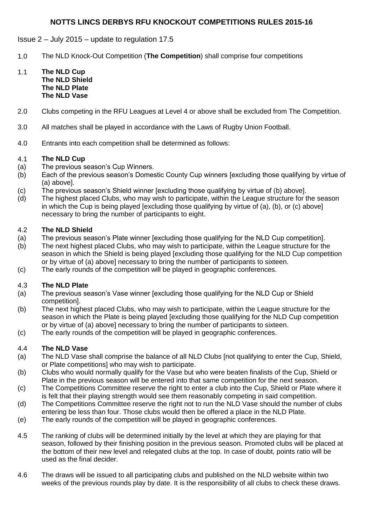# **NOTTS LINCS DERBYS RFU KNOCKOUT COMPETITIONS RULES 2015-16**

## Issue 2 – July 2015 – update to regulation 17.5

- 1.0 The NLD Knock-Out Competition (**The Competition**) shall comprise four competitions
- 1.1 **The NLD Cup The NLD Shield The NLD Plate The NLD Vase**
- 2.0 Clubs competing in the RFU Leagues at Level 4 or above shall be excluded from The Competition.
- 3.0 All matches shall be played in accordance with the Laws of Rugby Union Football.
- 4.0 Entrants into each competition shall be determined as follows:

### 4.1 **The NLD Cup**

- (a) The previous season's Cup Winners.
- (b) Each of the previous season's Domestic County Cup winners [excluding those qualifying by virtue of (a) above].
- (c) The previous season's Shield winner [excluding those qualifying by virtue of (b) above].
- (d) The highest placed Clubs, who may wish to participate, within the League structure for the season in which the Cup is being played [excluding those qualifying by virtue of (a), (b), or (c) above] necessary to bring the number of participants to eight.

### 4.2 **The NLD Shield**

- (a) The previous season's Plate winner [excluding those qualifying for the NLD Cup competition].
- (b) The next highest placed Clubs, who may wish to participate, within the League structure for the season in which the Shield is being played [excluding those qualifying for the NLD Cup competition or by virtue of (a) above] necessary to bring the number of participants to sixteen.
- (c) The early rounds of the competition will be played in geographic conferences.

### 4.3 **The NLD Plate**

- (a) The previous season's Vase winner [excluding those qualifying for the NLD Cup or Shield competition].
- (b) The next highest placed Clubs, who may wish to participate, within the League structure for the season in which the Plate is being played [excluding those qualifying for the NLD Cup competition or by virtue of (a) above] necessary to bring the number of participants to sixteen.
- (c) The early rounds of the competition will be played in geographic conferences.

## 4.4 **The NLD Vase**

- (a) The NLD Vase shall comprise the balance of all NLD Clubs [not qualifying to enter the Cup, Shield, or Plate competitions] who may wish to participate.
- (b) Clubs who would normally qualify for the Vase but who were beaten finalists of the Cup, Shield or Plate in the previous season will be entered into that same competition for the next season.
- (c) The Competitions Committee reserve the right to enter a club into the Cup, Shield or Plate where it is felt that their playing strength would see them reasonably competing in said competition.
- (d) The Competitions Committee reserve the right not to run the NLD Vase should the number of clubs entering be less than four. Those clubs would then be offered a place in the NLD Plate.
- (e) The early rounds of the competition will be played in geographic conferences.
- 4.5 The ranking of clubs will be determined initially by the level at which they are playing for that season, followed by their finishing position in the previous season. Promoted clubs will be placed at the bottom of their new level and relegated clubs at the top. In case of doubt, points ratio will be used as the final decider.
- 4.6 The draws will be issued to all participating clubs and published on the NLD website within two weeks of the previous rounds play by date. It is the responsibility of all clubs to check these draws.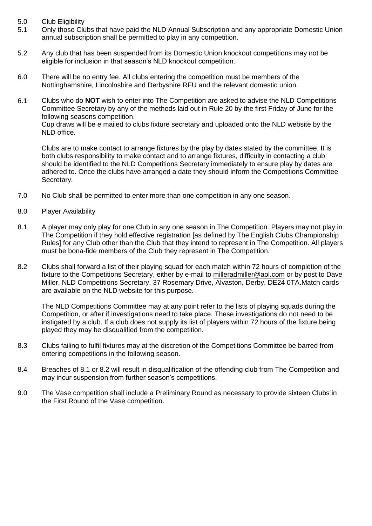- 5.0 Club Eligibility
- 5.1 Only those Clubs that have paid the NLD Annual Subscription and any appropriate Domestic Union annual subscription shall be permitted to play in any competition.
- 5.2 Any club that has been suspended from its Domestic Union knockout competitions may not be eligible for inclusion in that season's NLD knockout competition.
- 6.0 There will be no entry fee. All clubs entering the competition must be members of the Nottinghamshire, Lincolnshire and Derbyshire RFU and the relevant domestic union.
- 6.1 Clubs who do **NOT** wish to enter into The Competition are asked to advise the NLD Competitions Committee Secretary by any of the methods laid out in Rule 20 by the first Friday of June for the following seasons competition.

Cup draws will be e mailed to clubs fixture secretary and uploaded onto the NLD website by the NLD office.

Clubs are to make contact to arrange fixtures by the play by dates stated by the committee. It is both clubs responsibility to make contact and to arrange fixtures, difficulty in contacting a club should be identified to the NLD Competitions Secretary immediately to ensure play by dates are adhered to. Once the clubs have arranged a date they should inform the Competitions Committee Secretary.

- 7.0 No Club shall be permitted to enter more than one competition in any one season.
- 8.0 Player Availability
- 8.1 A player may only play for one Club in any one season in The Competition. Players may not play in The Competition if they hold effective registration [as defined by The English Clubs Championship Rules] for any Club other than the Club that they intend to represent in The Competition. All players must be bona-fide members of the Club they represent in The Competition.
- 8.2 Clubs shall forward a list of their playing squad for each match within 72 hours of completion of the fixture to the Competitions Secretary, either by e-mail to [milleradmiller@aol.com](mailto:milleradmiller@aol.com) or by post to Dave Miller, NLD Competitions Secretary, 37 Rosemary Drive, Alvaston, Derby, DE24 0TA.Match cards are available on the NLD website for this purpose.

The NLD Competitions Committee may at any point refer to the lists of playing squads during the Competition, or after if investigations need to take place. These investigations do not need to be instigated by a club. If a club does not supply its list of players within 72 hours of the fixture being played they may be disqualified from the competition.

- 8.3 Clubs failing to fulfil fixtures may at the discretion of the Competitions Committee be barred from entering competitions in the following season.
- 8.4 Breaches of 8.1 or 8.2 will result in disqualification of the offending club from The Competition and may incur suspension from further season's competitions.
- 9.0 The Vase competition shall include a Preliminary Round as necessary to provide sixteen Clubs in the First Round of the Vase competition.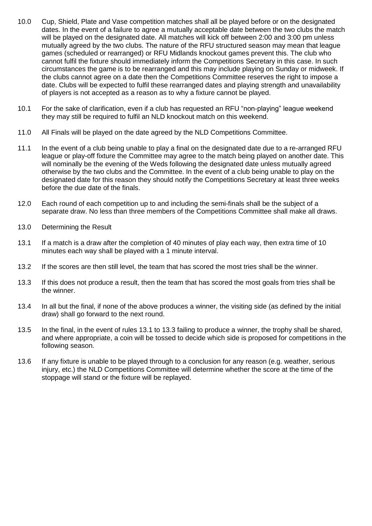- 10.0 Cup, Shield, Plate and Vase competition matches shall all be played before or on the designated dates. In the event of a failure to agree a mutually acceptable date between the two clubs the match will be played on the designated date. All matches will kick off between 2:00 and 3:00 pm unless mutually agreed by the two clubs. The nature of the RFU structured season may mean that league games (scheduled or rearranged) or RFU Midlands knockout games prevent this. The club who cannot fulfil the fixture should immediately inform the Competitions Secretary in this case. In such circumstances the game is to be rearranged and this may include playing on Sunday or midweek. If the clubs cannot agree on a date then the Competitions Committee reserves the right to impose a date. Clubs will be expected to fulfil these rearranged dates and playing strength and unavailability of players is not accepted as a reason as to why a fixture cannot be played.
- 10.1 For the sake of clarification, even if a club has requested an RFU "non-playing" league weekend they may still be required to fulfil an NLD knockout match on this weekend.
- 11.0 All Finals will be played on the date agreed by the NLD Competitions Committee.
- 11.1 In the event of a club being unable to play a final on the designated date due to a re-arranged RFU league or play-off fixture the Committee may agree to the match being played on another date. This will nominally be the evening of the Weds following the designated date unless mutually agreed otherwise by the two clubs and the Committee. In the event of a club being unable to play on the designated date for this reason they should notify the Competitions Secretary at least three weeks before the due date of the finals.
- 12.0 Each round of each competition up to and including the semi-finals shall be the subject of a separate draw. No less than three members of the Competitions Committee shall make all draws.
- 13.0 Determining the Result
- 13.1 If a match is a draw after the completion of 40 minutes of play each way, then extra time of 10 minutes each way shall be played with a 1 minute interval.
- 13.2 If the scores are then still level, the team that has scored the most tries shall be the winner.
- 13.3 If this does not produce a result, then the team that has scored the most goals from tries shall be the winner.
- 13.4 In all but the final, if none of the above produces a winner, the visiting side (as defined by the initial draw) shall go forward to the next round.
- 13.5 In the final, in the event of rules 13.1 to 13.3 failing to produce a winner, the trophy shall be shared, and where appropriate, a coin will be tossed to decide which side is proposed for competitions in the following season.
- 13.6 If any fixture is unable to be played through to a conclusion for any reason (e.g. weather, serious injury, etc.) the NLD Competitions Committee will determine whether the score at the time of the stoppage will stand or the fixture will be replayed.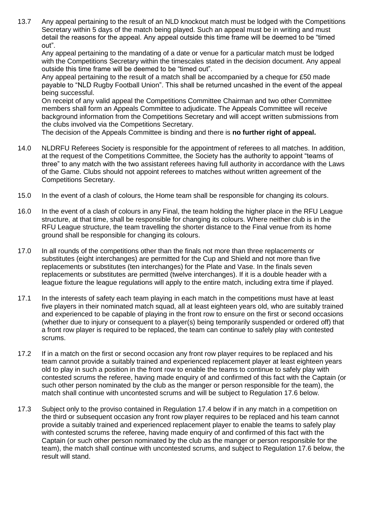13.7 Any appeal pertaining to the result of an NLD knockout match must be lodged with the Competitions Secretary within 5 days of the match being played. Such an appeal must be in writing and must detail the reasons for the appeal. Any appeal outside this time frame will be deemed to be "timed out".

Any appeal pertaining to the mandating of a date or venue for a particular match must be lodged with the Competitions Secretary within the timescales stated in the decision document. Any appeal outside this time frame will be deemed to be "timed out".

Any appeal pertaining to the result of a match shall be accompanied by a cheque for £50 made payable to "NLD Rugby Football Union". This shall be returned uncashed in the event of the appeal being successful.

On receipt of any valid appeal the Competitions Committee Chairman and two other Committee members shall form an Appeals Committee to adjudicate. The Appeals Committee will receive background information from the Competitions Secretary and will accept written submissions from the clubs involved via the Competitions Secretary.

The decision of the Appeals Committee is binding and there is **no further right of appeal.**

- 14.0 NLDRFU Referees Society is responsible for the appointment of referees to all matches. In addition, at the request of the Competitions Committee, the Society has the authority to appoint "teams of three" to any match with the two assistant referees having full authority in accordance with the Laws of the Game. Clubs should not appoint referees to matches without written agreement of the Competitions Secretary.
- 15.0 In the event of a clash of colours, the Home team shall be responsible for changing its colours.
- 16.0 In the event of a clash of colours in any Final, the team holding the higher place in the RFU League structure, at that time, shall be responsible for changing its colours. Where neither club is in the RFU League structure, the team travelling the shorter distance to the Final venue from its home ground shall be responsible for changing its colours.
- 17.0 In all rounds of the competitions other than the finals not more than three replacements or substitutes (eight interchanges) are permitted for the Cup and Shield and not more than five replacements or substitutes (ten interchanges) for the Plate and Vase. In the finals seven replacements or substitutes are permitted (twelve interchanges). If it is a double header with a league fixture the league regulations will apply to the entire match, including extra time if played.
- 17.1 In the interests of safety each team playing in each match in the competitions must have at least five players in their nominated match squad, all at least eighteen years old, who are suitably trained and experienced to be capable of playing in the front row to ensure on the first or second occasions (whether due to injury or consequent to a player(s) being temporarily suspended or ordered off) that a front row player is required to be replaced, the team can continue to safely play with contested scrums.
- 17.2 If in a match on the first or second occasion any front row player requires to be replaced and his team cannot provide a suitably trained and experienced replacement player at least eighteen years old to play in such a position in the front row to enable the teams to continue to safely play with contested scrums the referee, having made enquiry of and confirmed of this fact with the Captain (or such other person nominated by the club as the manger or person responsible for the team), the match shall continue with uncontested scrums and will be subject to Regulation 17.6 below.
- 17.3 Subject only to the proviso contained in Regulation 17.4 below if in any match in a competition on the third or subsequent occasion any front row player requires to be replaced and his team cannot provide a suitably trained and experienced replacement player to enable the teams to safely play with contested scrums the referee, having made enquiry of and confirmed of this fact with the Captain (or such other person nominated by the club as the manger or person responsible for the team), the match shall continue with uncontested scrums, and subject to Regulation 17.6 below, the result will stand.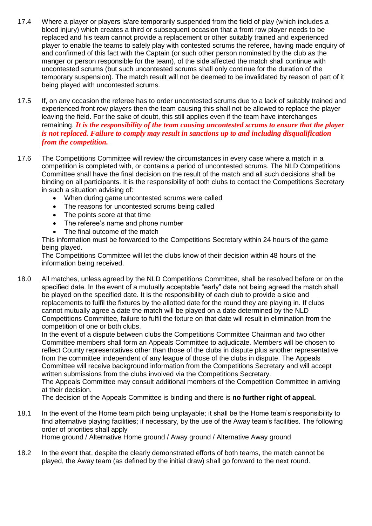- 17.4 Where a player or players is/are temporarily suspended from the field of play (which includes a blood injury) which creates a third or subsequent occasion that a front row player needs to be replaced and his team cannot provide a replacement or other suitably trained and experienced player to enable the teams to safely play with contested scrums the referee, having made enquiry of and confirmed of this fact with the Captain (or such other person nominated by the club as the manger or person responsible for the team), of the side affected the match shall continue with uncontested scrums (but such uncontested scrums shall only continue for the duration of the temporary suspension). The match result will not be deemed to be invalidated by reason of part of it being played with uncontested scrums.
- 17.5 If, on any occasion the referee has to order uncontested scrums due to a lack of suitably trained and experienced front row players then the team causing this shall not be allowed to replace the player leaving the field. For the sake of doubt, this still applies even if the team have interchanges remaining. *It is the responsibility of the team causing uncontested scrums to ensure that the player is not replaced. Failure to comply may result in sanctions up to and including disqualification from the competition.*
- 17.6 The Competitions Committee will review the circumstances in every case where a match in a competition is completed with, or contains a period of uncontested scrums. The NLD Competitions Committee shall have the final decision on the result of the match and all such decisions shall be binding on all participants. It is the responsibility of both clubs to contact the Competitions Secretary in such a situation advising of:
	- When during game uncontested scrums were called
	- The reasons for uncontested scrums being called
	- The points score at that time
	- The referee's name and phone number
	- The final outcome of the match

This information must be forwarded to the Competitions Secretary within 24 hours of the game being played.

The Competitions Committee will let the clubs know of their decision within 48 hours of the information being received.

18.0 All matches, unless agreed by the NLD Competitions Committee, shall be resolved before or on the specified date. In the event of a mutually acceptable "early" date not being agreed the match shall be played on the specified date. It is the responsibility of each club to provide a side and replacements to fulfil the fixtures by the allotted date for the round they are playing in. If clubs cannot mutually agree a date the match will be played on a date determined by the NLD Competitions Committee, failure to fulfil the fixture on that date will result in elimination from the competition of one or both clubs.

In the event of a dispute between clubs the Competitions Committee Chairman and two other Committee members shall form an Appeals Committee to adjudicate. Members will be chosen to reflect County representatives other than those of the clubs in dispute plus another representative from the committee independent of any league of those of the clubs in dispute. The Appeals Committee will receive background information from the Competitions Secretary and will accept written submissions from the clubs involved via the Competitions Secretary.

The Appeals Committee may consult additional members of the Competition Committee in arriving at their decision.

The decision of the Appeals Committee is binding and there is **no further right of appeal.**

18.1 In the event of the Home team pitch being unplayable; it shall be the Home team's responsibility to find alternative playing facilities; if necessary, by the use of the Away team's facilities. The following order of priorities shall apply Home ground / Alternative Home ground / Away ground / Alternative Away ground

18.2 In the event that, despite the clearly demonstrated efforts of both teams, the match cannot be played, the Away team (as defined by the initial draw) shall go forward to the next round.